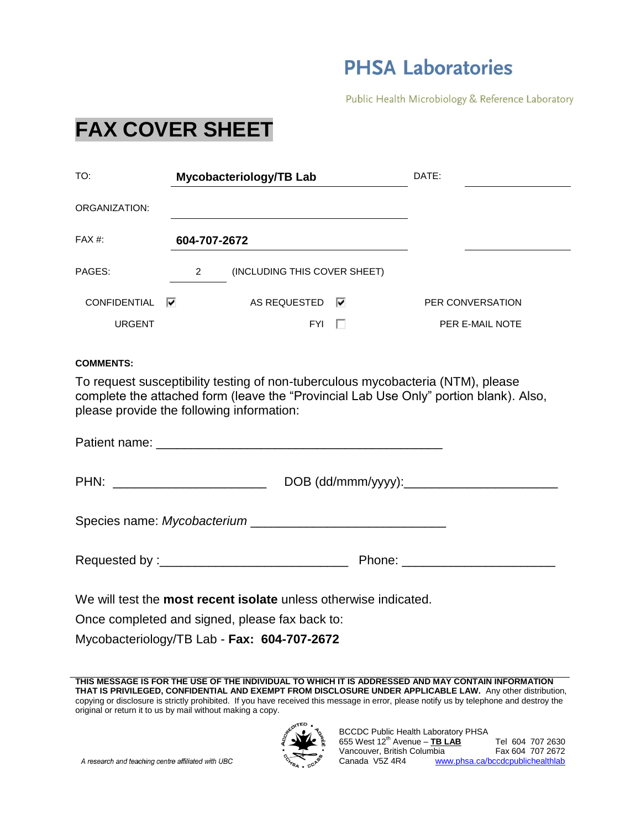## **PHSA Laboratories**

Public Health Microbiology & Reference Laboratory

## **FAX COVER SHEET**

| TO:                                                                                                                                                                                                                                                                                                                                                                                                                                                                                    | Mycobacteriology/TB Lab        | DATE:                                                                                                                                                                                                                          |
|----------------------------------------------------------------------------------------------------------------------------------------------------------------------------------------------------------------------------------------------------------------------------------------------------------------------------------------------------------------------------------------------------------------------------------------------------------------------------------------|--------------------------------|--------------------------------------------------------------------------------------------------------------------------------------------------------------------------------------------------------------------------------|
| ORGANIZATION:                                                                                                                                                                                                                                                                                                                                                                                                                                                                          |                                |                                                                                                                                                                                                                                |
| FAX #:                                                                                                                                                                                                                                                                                                                                                                                                                                                                                 | 604-707-2672                   |                                                                                                                                                                                                                                |
| PAGES:                                                                                                                                                                                                                                                                                                                                                                                                                                                                                 | 2 (INCLUDING THIS COVER SHEET) |                                                                                                                                                                                                                                |
| <b>CONFIDENTIAL</b>                                                                                                                                                                                                                                                                                                                                                                                                                                                                    | ⊽<br>AS REQUESTED <b>⊽</b>     | PER CONVERSATION                                                                                                                                                                                                               |
| <b>URGENT</b>                                                                                                                                                                                                                                                                                                                                                                                                                                                                          | $FYI \quad \Box$               | <b>PER E-MAIL NOTE</b>                                                                                                                                                                                                         |
| To request susceptibility testing of non-tuberculous mycobacteria (NTM), please<br>complete the attached form (leave the "Provincial Lab Use Only" portion blank). Also,<br>please provide the following information:<br>Patient name: Note of the Commission of the Commission of the Commission of the Commission of the Commission of the Commission of the Commission of the Commission of the Commission of the Commission of the Commission of th<br>Species name: Mycobacterium |                                |                                                                                                                                                                                                                                |
|                                                                                                                                                                                                                                                                                                                                                                                                                                                                                        |                                | Phone: New York Phone: New York Phone: New York Phone: New York Phone: New York Phone: New York Phone: New York Phone: New York Phone: New York Phone: New York Phone: New York Phone: New York Phone: New York Phone: New Yor |
| We will test the <b>most recent isolate</b> unless otherwise indicated.<br>Once completed and signed, please fax back to:<br>Mycobacteriology/TB Lab - Fax: 604-707-2672                                                                                                                                                                                                                                                                                                               |                                |                                                                                                                                                                                                                                |

**THIS MESSAGE IS FOR THE USE OF THE INDIVIDUAL TO WHICH IT IS ADDRESSED AND MAY CONTAIN INFORMATION THAT IS PRIVILEGED, CONFIDENTIAL AND EXEMPT FROM DISCLOSURE UNDER APPLICABLE LAW.** Any other distribution, copying or disclosure is strictly prohibited. If you have received this message in error, please notify us by telephone and destroy the original or return it to us by mail without making a copy.



A research and teaching centre affiliated with UBC